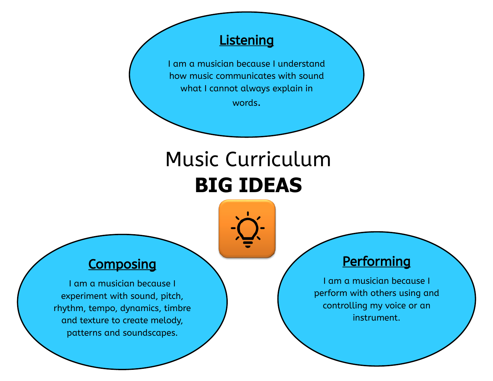#### **Listening**

I am a musician because I understand how music communicates with sound what I cannot always explain in

words.

# Music Curriculum **BIG IDEAS**



### **Composing**

I am a musician because I experiment with sound, pitch, rhythm, tempo, dynamics, timbre and texture to create melody, patterns and soundscapes.

### **Performing**

I am a musician because I perform with others using and controlling my voice or an instrument.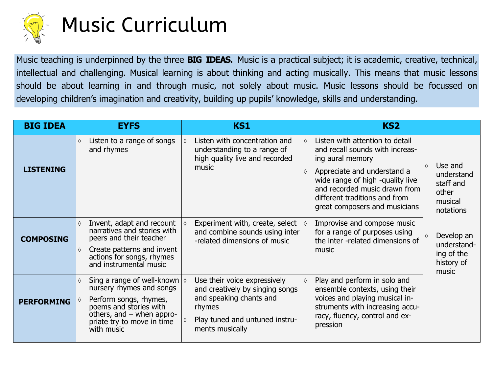

## Music Curriculum

Music teaching is underpinned by the three **BIG IDEAS.** Music is a practical subject; it is academic, creative, technical, intellectual and challenging. Musical learning is about thinking and acting musically. This means that music lessons should be about learning in and through music, not solely about music. Music lessons should be focussed on developing children's imagination and creativity, building up pupils' knowledge, skills and understanding.

| <b>BIG IDEA</b>   | <b>EYFS</b>                                                                                                                                                                                                     | <b>KS1</b>                                                                                                                                                | KS <sub>2</sub>                                                                                                                                                                                                                                                                                                                                             |
|-------------------|-----------------------------------------------------------------------------------------------------------------------------------------------------------------------------------------------------------------|-----------------------------------------------------------------------------------------------------------------------------------------------------------|-------------------------------------------------------------------------------------------------------------------------------------------------------------------------------------------------------------------------------------------------------------------------------------------------------------------------------------------------------------|
| <b>LISTENING</b>  | Listen to a range of songs<br>$\Diamond$<br>and rhymes                                                                                                                                                          | Listen with concentration and<br>understanding to a range of<br>high quality live and recorded<br>music                                                   | Listen with attention to detail<br>$\Diamond$<br>and recall sounds with increas-<br>ing aural memory<br>Use and<br>♦<br>Appreciate and understand a<br>♦<br>understand<br>wide range of high -quality live<br>staff and<br>and recorded music drawn from<br>other<br>different traditions and from<br>musical<br>great composers and musicians<br>notations |
| <b>COMPOSING</b>  | Invent, adapt and recount<br>$\Diamond$<br>narratives and stories with<br>peers and their teacher<br>Create patterns and invent<br>♦<br>actions for songs, rhymes<br>and instrumental music                     | Experiment with, create, select<br>and combine sounds using inter<br>-related dimensions of music                                                         | Improvise and compose music<br>for a range of purposes using<br>Develop an<br>the inter -related dimensions of<br>understand-<br>music<br>ing of the<br>history of<br>music                                                                                                                                                                                 |
| <b>PERFORMING</b> | Sing a range of well-known $ \diamond$<br>$\Diamond$<br>nursery rhymes and songs<br>Perform songs, rhymes,<br>poems and stories with<br>others, and $-$ when appro-<br>priate try to move in time<br>with music | Use their voice expressively<br>and creatively by singing songs<br>and speaking chants and<br>rhymes<br>Play tuned and untuned instru-<br>ments musically | Play and perform in solo and<br>ensemble contexts, using their<br>voices and playing musical in-<br>struments with increasing accu-<br>racy, fluency, control and ex-<br>pression                                                                                                                                                                           |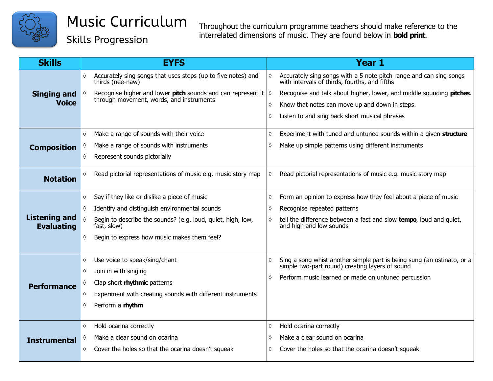

Skills Progression

| <b>Skills</b>                             | <b>EYFS</b>                                                                           | <b>Year 1</b>                                                                                                               |
|-------------------------------------------|---------------------------------------------------------------------------------------|-----------------------------------------------------------------------------------------------------------------------------|
| <b>Singing and</b>                        | Accurately sing songs that uses steps (up to five notes) and<br>♦<br>thirds (nee-naw) | Accurately sing songs with a 5 note pitch range and can sing songs<br>with intervals of thirds, fourths, and fifths         |
|                                           | Recognise higher and lower <b>pitch</b> sounds and can represent it $\Diamond$        | Recognise and talk about higher, lower, and middle sounding pitches.                                                        |
| <b>Voice</b>                              | through movement, words, and instruments                                              | Know that notes can move up and down in steps.<br>$\Diamond$                                                                |
|                                           |                                                                                       | Listen to and sing back short musical phrases<br>♦                                                                          |
|                                           | Make a range of sounds with their voice<br>♦                                          | Experiment with tuned and untuned sounds within a given structure<br>♦                                                      |
| <b>Composition</b>                        | Make a range of sounds with instruments                                               | Make up simple patterns using different instruments<br>0                                                                    |
|                                           | Represent sounds pictorially<br>♦                                                     |                                                                                                                             |
| <b>Notation</b>                           | Read pictorial representations of music e.g. music story map<br>♦                     | Read pictorial representations of music e.g. music story map<br>♦                                                           |
| <b>Listening and</b><br><b>Evaluating</b> | Say if they like or dislike a piece of music<br>♦                                     | Form an opinion to express how they feel about a piece of music<br>♦                                                        |
|                                           | Identify and distinguish environmental sounds<br>♦                                    | Recognise repeated patterns                                                                                                 |
|                                           | Begin to describe the sounds? (e.g. loud, quiet, high, low,<br>fast, slow)            | tell the difference between a fast and slow tempo, loud and quiet,<br>and high and low sounds                               |
|                                           | Begin to express how music makes them feel?<br>♦                                      |                                                                                                                             |
|                                           | Use voice to speak/sing/chant<br>♦                                                    | Sing a song whist another simple part is being sung (an ostinato, or a simple two-part round) creating layers of sound<br>♦ |
|                                           | Join in with singing<br>♦                                                             |                                                                                                                             |
| <b>Performance</b>                        | Clap short rhythmic patterns                                                          | Perform music learned or made on untuned percussion<br>♦                                                                    |
|                                           | Experiment with creating sounds with different instruments<br>♦                       |                                                                                                                             |
|                                           | Perform a rhythm<br>♦                                                                 |                                                                                                                             |
|                                           |                                                                                       |                                                                                                                             |
|                                           | Hold ocarina correctly<br>♦                                                           | Hold ocarina correctly<br>♦                                                                                                 |
| <b>Instrumental</b>                       | Make a clear sound on ocarina                                                         | Make a clear sound on ocarina<br>♦                                                                                          |
|                                           | Cover the holes so that the ocarina doesn't squeak<br>♦                               | Cover the holes so that the ocarina doesn't squeak<br>0                                                                     |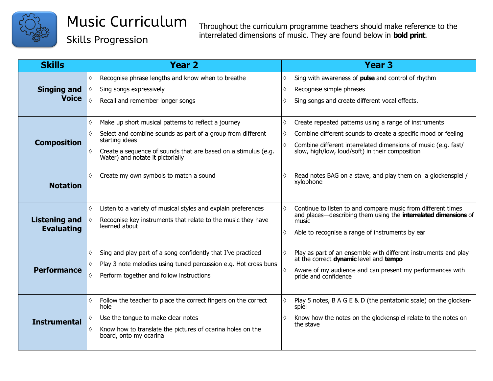

Skills Progression

| <b>Skills</b>                             | <b>Year 2</b>                                                                                                                                                                                                                                             | <b>Year 3</b>                                                                                                                                                                                                                                                  |
|-------------------------------------------|-----------------------------------------------------------------------------------------------------------------------------------------------------------------------------------------------------------------------------------------------------------|----------------------------------------------------------------------------------------------------------------------------------------------------------------------------------------------------------------------------------------------------------------|
| <b>Singing and</b><br><b>Voice</b>        | Recognise phrase lengths and know when to breathe<br>♦<br>Sing songs expressively<br>♦<br>$\Diamond$<br>Recall and remember longer songs                                                                                                                  | Sing with awareness of pulse and control of rhythm<br>♦<br>Recognise simple phrases<br>♦<br>Sing songs and create different vocal effects.<br>$\Diamond$                                                                                                       |
| <b>Composition</b>                        | Make up short musical patterns to reflect a journey<br>♦<br>Select and combine sounds as part of a group from different<br>♦<br>starting ideas<br>Create a sequence of sounds that are based on a stimulus (e.g.<br>♦<br>Water) and notate it pictorially | $\Diamond$<br>Create repeated patterns using a range of instruments<br>Combine different sounds to create a specific mood or feeling<br>♦<br>Combine different interrelated dimensions of music (e.g. fast/<br>slow, high/low, loud/soft) in their composition |
| <b>Notation</b>                           | Create my own symbols to match a sound<br>♦                                                                                                                                                                                                               | Read notes BAG on a stave, and play them on a glockenspiel /<br>$\Diamond$<br>xylophone                                                                                                                                                                        |
| <b>Listening and</b><br><b>Evaluating</b> | Listen to a variety of musical styles and explain preferences<br>♦<br>Recognise key instruments that relate to the music they have<br>♦<br>learned about                                                                                                  | Continue to listen to and compare music from different times<br>$\Diamond$<br>and places—describing them using the <b>interrelated dimensions</b> of<br>music<br>Able to recognise a range of instruments by ear<br>♦                                          |
| Performance                               | Sing and play part of a song confidently that I've practiced<br>♦<br>Play 3 note melodies using tuned percussion e.g. Hot cross buns<br>♦<br>Perform together and follow instructions<br>♦                                                                | Play as part of an ensemble with different instruments and play<br>$\Diamond$<br>at the correct dynamic level and tempo<br>Aware of my audience and can present my performances with<br>♦<br>pride and confidence                                              |
| <b>Instrumental</b>                       | Follow the teacher to place the correct fingers on the correct<br>♦<br>hole<br>Use the tongue to make clear notes<br>♦<br>Know how to translate the pictures of ocarina holes on the<br>♦<br>board, onto my ocarina                                       | Play 5 notes, B A G E & D (the pentatonic scale) on the glocken-<br>$\Diamond$<br>spiel<br>Know how the notes on the glockenspiel relate to the notes on<br>♦<br>the stave                                                                                     |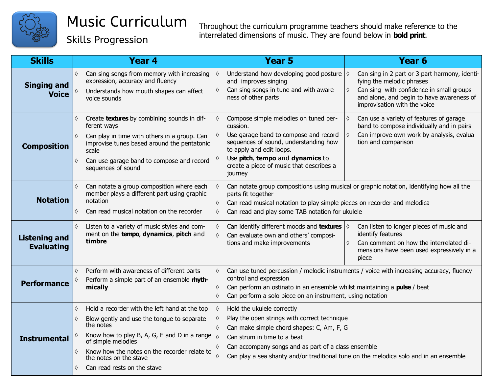

Skills Progression

| <b>Skills</b>                             | <b>Year 4</b>                                                                                                                                                                                                                                                                                               | <b>Year 5</b>                                                                                                                                                                                                                                                                                | Year <sub>6</sub>                                                                                                                                                                                                 |  |
|-------------------------------------------|-------------------------------------------------------------------------------------------------------------------------------------------------------------------------------------------------------------------------------------------------------------------------------------------------------------|----------------------------------------------------------------------------------------------------------------------------------------------------------------------------------------------------------------------------------------------------------------------------------------------|-------------------------------------------------------------------------------------------------------------------------------------------------------------------------------------------------------------------|--|
| <b>Singing and</b><br><b>Voice</b>        | Can sing songs from memory with increasing<br>$\Diamond$<br>expression, accuracy and fluency<br>Understands how mouth shapes can affect<br>♦<br>voice sounds                                                                                                                                                | Understand how developing good posture<br>and improves singing<br>Can sing songs in tune and with aware-<br>ness of other parts                                                                                                                                                              | Can sing in 2 part or 3 part harmony, identi-<br>$\Diamond$<br>fying the melodic phrases<br>Can sing with confidence in small groups<br>and alone, and begin to have awareness of<br>improvisation with the voice |  |
| <b>Composition</b>                        | Create textures by combining sounds in dif-<br>♦<br>ferent ways<br>Can play in time with others in a group. Can<br>$\Diamond$<br>improvise tunes based around the pentatonic<br>scale<br>Can use garage band to compose and record<br>♦<br>sequences of sound                                               | Compose simple melodies on tuned per-<br>cussion.<br>Use garage band to compose and record<br>sequences of sound, understanding how<br>to apply and edit loops.<br>Use pitch, tempo and dynamics to<br>create a piece of music that describes a<br>journey                                   | $\Diamond$<br>Can use a variety of features of garage<br>band to compose individually and in pairs<br>Can improve own work by analysis, evalua-<br>tion and comparison                                            |  |
| <b>Notation</b>                           | Can notate a group composition where each<br>$\Diamond$<br>member plays a different part using graphic<br>notation<br>$\Diamond$<br>Can read musical notation on the recorder<br>♦<br>$\Diamond$                                                                                                            | Can notate group compositions using musical or graphic notation, identifying how all the<br>parts fit together<br>Can read musical notation to play simple pieces on recorder and melodica<br>Can read and play some TAB notation for ukulele                                                |                                                                                                                                                                                                                   |  |
| <b>Listening and</b><br><b>Evaluating</b> | $\Diamond$<br>Listen to a variety of music styles and com-<br>ment on the tempo, dynamics, pitch and<br>timbre                                                                                                                                                                                              | Can identify different moods and <b>textures</b> $\Diamond$<br>$\Diamond$<br>Can evaluate own and others' composi-<br>$\Diamond$<br>tions and make improvements                                                                                                                              | Can listen to longer pieces of music and<br>identify features<br>Can comment on how the interrelated di-<br>♦<br>mensions have been used expressively in a<br>piece                                               |  |
| <b>Performance</b>                        | Perform with awareness of different parts<br>♦<br>Perform a simple part of an ensemble rhyth-<br>♦<br>mically                                                                                                                                                                                               | Can use tuned percussion / melodic instruments / voice with increasing accuracy, fluency<br>$\Diamond$<br>control and expression<br>Can perform an ostinato in an ensemble whilst maintaining a pulse / beat<br>♦<br>Can perform a solo piece on an instrument, using notation<br>$\Diamond$ |                                                                                                                                                                                                                   |  |
| <b>Instrumental</b>                       | Hold a recorder with the left hand at the top<br>♦<br>Blow gently and use the tongue to separate<br>♦<br>the notes<br>Know how to play B, A, G, E and D in a range<br>of simple melodies<br>Know how the notes on the recorder relate to<br>♦<br>the notes on the stave<br>Can read rests on the stave<br>♦ | Hold the ukulele correctly<br>$\Diamond$<br>Play the open strings with correct technique<br>♦<br>Can make simple chord shapes: C, Am, F, G<br>$\Diamond$<br>$\Diamond$<br>Can strum in time to a beat<br>Can accompany songs and as part of a class ensemble<br>$\Diamond$                   | Can play a sea shanty and/or traditional tune on the melodica solo and in an ensemble                                                                                                                             |  |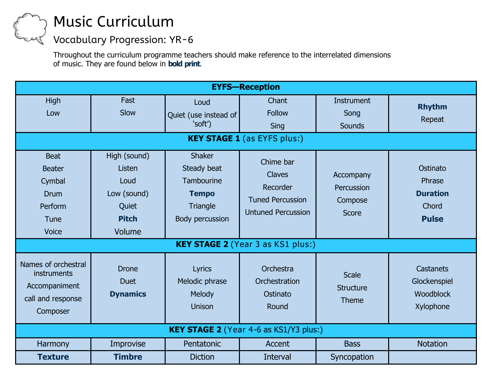### Music Curriculum

### Vocabulary Progression: YR-6

| <b>EYFS-Reception</b>                                                                    |                                                                                  |                                                                                           |                                                                                         |                                                    |                                                                |
|------------------------------------------------------------------------------------------|----------------------------------------------------------------------------------|-------------------------------------------------------------------------------------------|-----------------------------------------------------------------------------------------|----------------------------------------------------|----------------------------------------------------------------|
| <b>High</b><br>Low                                                                       | Fast<br>Slow                                                                     | Loud<br>Quiet (use instead of<br>'soft')                                                  | Chant<br><b>Follow</b><br>Sing                                                          | Instrument<br>Song<br>Sounds                       | <b>Rhythm</b><br>Repeat                                        |
|                                                                                          | <b>KEY STAGE 1</b> (as EYFS plus:)                                               |                                                                                           |                                                                                         |                                                    |                                                                |
| <b>Beat</b><br><b>Beater</b><br>Cymbal<br><b>Drum</b><br>Perform<br>Tune<br><b>Voice</b> | High (sound)<br>Listen<br>Loud<br>Low (sound)<br>Quiet<br><b>Pitch</b><br>Volume | <b>Shaker</b><br>Steady beat<br>Tambourine<br><b>Tempo</b><br>Triangle<br>Body percussion | Chime bar<br>Claves<br>Recorder<br><b>Tuned Percussion</b><br><b>Untuned Percussion</b> | Accompany<br>Percussion<br>Compose<br><b>Score</b> | Ostinato<br>Phrase<br><b>Duration</b><br>Chord<br><b>Pulse</b> |
| <b>KEY STAGE 2</b> (Year 3 as KS1 plus:)                                                 |                                                                                  |                                                                                           |                                                                                         |                                                    |                                                                |
| Names of orchestral<br>instruments<br>Accompaniment<br>call and response<br>Composer     | <b>Drone</b><br><b>Duet</b><br><b>Dynamics</b>                                   | <b>Lyrics</b><br>Melodic phrase<br>Melody<br><b>Unison</b>                                | Orchestra<br>Orchestration<br>Ostinato<br>Round                                         | <b>Scale</b><br><b>Structure</b><br>Theme          | <b>Castanets</b><br>Glockenspiel<br>Woodblock<br>Xylophone     |
| KEY STAGE 2 (Year 4-6 as KS1/Y3 plus:)                                                   |                                                                                  |                                                                                           |                                                                                         |                                                    |                                                                |
| Harmony                                                                                  | Improvise                                                                        | Pentatonic                                                                                | Accent                                                                                  | <b>Bass</b>                                        | <b>Notation</b>                                                |
| <b>Texture</b>                                                                           | <b>Timbre</b>                                                                    | <b>Diction</b>                                                                            | Interval                                                                                | Syncopation                                        |                                                                |